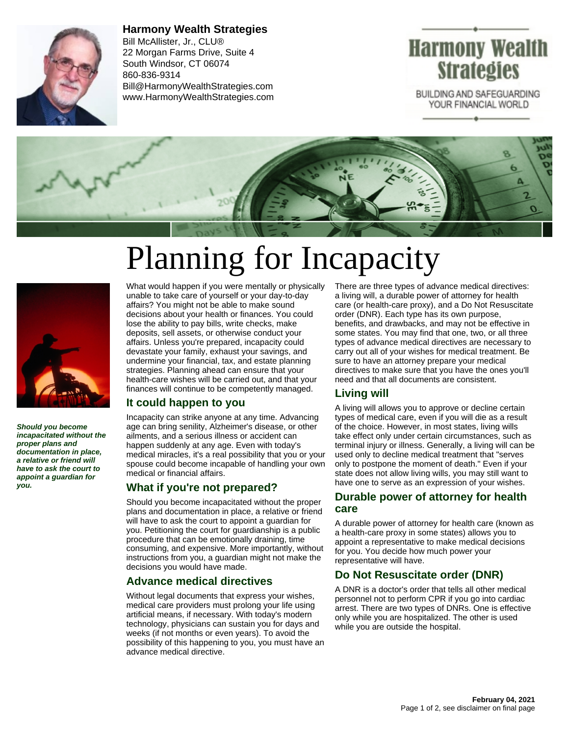

**Harmony Wealth Strategies** Bill McAllister, Jr., CLU® 22 Morgan Farms Drive, Suite 4 South Windsor, CT 06074 860-836-9314 Bill@HarmonyWealthStrategies.com www.HarmonyWealthStrategies.com

# Harmony Wealth **Strategies**

BUILDING AND SAFEGUARDING YOUR FINANCIAL WORLD



# Planning for Incapacity



**Should you become incapacitated without the proper plans and documentation in place, a relative or friend will have to ask the court to appoint a guardian for you.**

What would happen if you were mentally or physically unable to take care of yourself or your day-to-day affairs? You might not be able to make sound decisions about your health or finances. You could lose the ability to pay bills, write checks, make deposits, sell assets, or otherwise conduct your affairs. Unless you're prepared, incapacity could devastate your family, exhaust your savings, and undermine your financial, tax, and estate planning strategies. Planning ahead can ensure that your health-care wishes will be carried out, and that your finances will continue to be competently managed.

#### **It could happen to you**

Incapacity can strike anyone at any time. Advancing age can bring senility, Alzheimer's disease, or other ailments, and a serious illness or accident can happen suddenly at any age. Even with today's medical miracles, it's a real possibility that you or your spouse could become incapable of handling your own medical or financial affairs.

#### **What if you're not prepared?**

Should you become incapacitated without the proper plans and documentation in place, a relative or friend will have to ask the court to appoint a guardian for you. Petitioning the court for guardianship is a public procedure that can be emotionally draining, time consuming, and expensive. More importantly, without instructions from you, a guardian might not make the decisions you would have made.

# **Advance medical directives**

Without legal documents that express your wishes, medical care providers must prolong your life using artificial means, if necessary. With today's modern technology, physicians can sustain you for days and weeks (if not months or even years). To avoid the possibility of this happening to you, you must have an advance medical directive.

There are three types of advance medical directives: a living will, a durable power of attorney for health care (or health-care proxy), and a Do Not Resuscitate order (DNR). Each type has its own purpose, benefits, and drawbacks, and may not be effective in some states. You may find that one, two, or all three types of advance medical directives are necessary to carry out all of your wishes for medical treatment. Be sure to have an attorney prepare your medical directives to make sure that you have the ones you'll need and that all documents are consistent.

# **Living will**

A living will allows you to approve or decline certain types of medical care, even if you will die as a result of the choice. However, in most states, living wills take effect only under certain circumstances, such as terminal injury or illness. Generally, a living will can be used only to decline medical treatment that "serves only to postpone the moment of death." Even if your state does not allow living wills, you may still want to have one to serve as an expression of your wishes.

#### **Durable power of attorney for health care**

A durable power of attorney for health care (known as a health-care proxy in some states) allows you to appoint a representative to make medical decisions for you. You decide how much power your representative will have.

# **Do Not Resuscitate order (DNR)**

A DNR is a doctor's order that tells all other medical personnel not to perform CPR if you go into cardiac arrest. There are two types of DNRs. One is effective only while you are hospitalized. The other is used while you are outside the hospital.